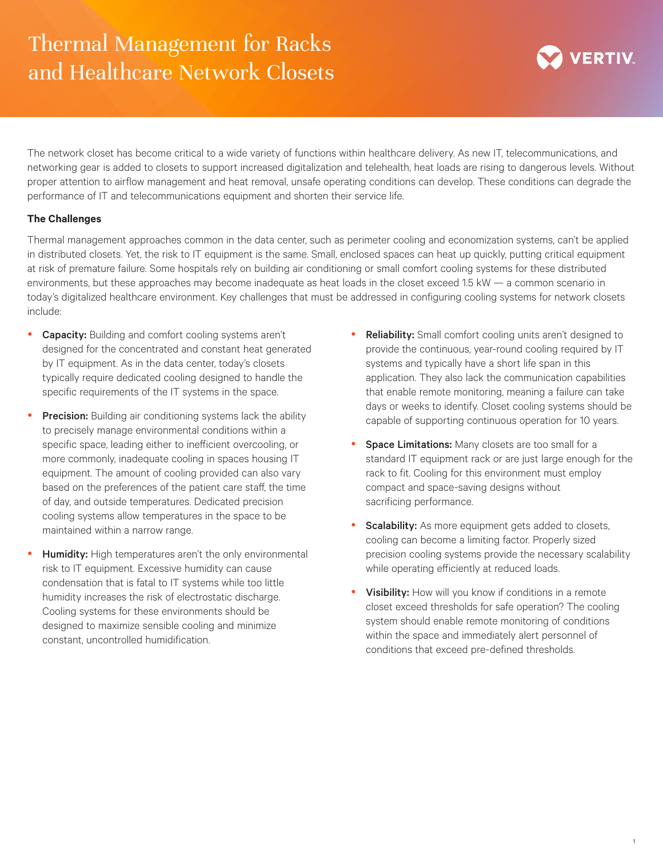## Thermal Management for Racks and Healthcare Network Closets



The network closet has become critical to a wide variety of functions within healthcare delivery. As new IT, telecommunications, and networking gear is added to closets to support increased digitalization and telehealth, heat loads are rising to dangerous levels. Without proper attention to airflow management and heat removal, unsafe operating conditions can develop. These conditions can degrade the performance of IT and telecommunications equipment and shorten their service life.

## **The Challenges**

Thermal management approaches common in the data center, such as perimeter cooling and economization systems, can't be applied in distributed closets. Yet, the risk to IT equipment is the same. Small, enclosed spaces can heat up quickly, putting critical equipment at risk of premature failure. Some hospitals rely on building air conditioning or small comfort cooling systems for these distributed environments, but these approaches may become inadequate as heat loads in the closet exceed 1.5 kW — a common scenario in today's digitalized healthcare environment. Key challenges that must be addressed in configuring cooling systems for network closets include:

- **Capacity:** Building and comfort cooling systems aren't designed for the concentrated and constant heat generated by IT equipment. As in the data center, today's closets typically require dedicated cooling designed to handle the specific requirements of the IT systems in the space.
- Precision: Building air conditioning systems lack the ability to precisely manage environmental conditions within a specific space, leading either to inefficient overcooling, or more commonly, inadequate cooling in spaces housing IT equipment. The amount of cooling provided can also vary based on the preferences of the patient care staff, the time of day, and outside temperatures. Dedicated precision cooling systems allow temperatures in the space to be maintained within a narrow range.
- Humidity: High temperatures aren't the only environmental risk to IT equipment. Excessive humidity can cause condensation that is fatal to IT systems while too little humidity increases the risk of electrostatic discharge. Cooling systems for these environments should be designed to maximize sensible cooling and minimize constant, uncontrolled humidification.
- Reliability: Small comfort cooling units aren't designed to provide the continuous, year-round cooling required by IT systems and typically have a short life span in this application. They also lack the communication capabilities that enable remote monitoring, meaning a failure can take days or weeks to identify. Closet cooling systems should be capable of supporting continuous operation for 10 years.
- Space Limitations: Many closets are too small for a standard IT equipment rack or are just large enough for the rack to fit. Cooling for this environment must employ compact and space-saving designs without sacrificing performance.
- Scalability: As more equipment gets added to closets, cooling can become a limiting factor. Properly sized precision cooling systems provide the necessary scalability while operating efficiently at reduced loads.
- Visibility: How will you know if conditions in a remote closet exceed thresholds for safe operation? The cooling system should enable remote monitoring of conditions within the space and immediately alert personnel of conditions that exceed pre-defined thresholds.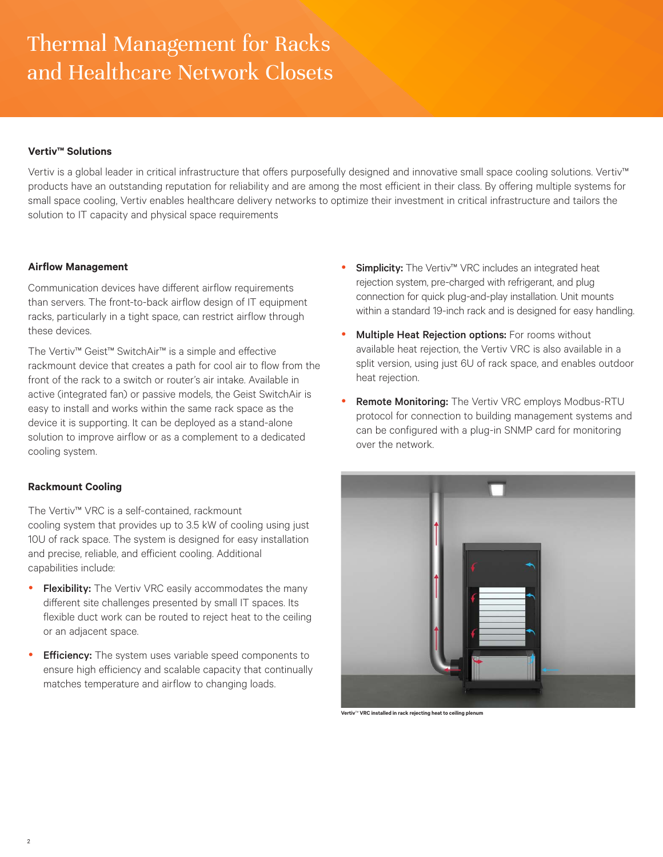# Thermal Management for Racks and Healthcare Network Closets

## **Vertiv™ Solutions**

Vertiv is a global leader in critical infrastructure that offers purposefully designed and innovative small space cooling solutions. Vertiv™ products have an outstanding reputation for reliability and are among the most efficient in their class. By offering multiple systems for small space cooling, Vertiv enables healthcare delivery networks to optimize their investment in critical infrastructure and tailors the solution to IT capacity and physical space requirements

### **Airflow Management**

Communication devices have different airflow requirements than servers. The front-to-back airflow design of IT equipment racks, particularly in a tight space, can restrict airflow through these devices.

The Vertiv™ Geist™ SwitchAir™ is a simple and effective rackmount device that creates a path for cool air to flow from the front of the rack to a switch or router's air intake. Available in active (integrated fan) or passive models, the Geist SwitchAir is easy to install and works within the same rack space as the device it is supporting. It can be deployed as a stand-alone solution to improve airflow or as a complement to a dedicated cooling system.

## **Rackmount Cooling**

The Vertiv™ VRC is a self-contained, rackmount cooling system that provides up to 3.5 kW of cooling using just 10U of rack space. The system is designed for easy installation and precise, reliable, and efficient cooling. Additional capabilities include:

- Flexibility: The Vertiv VRC easily accommodates the many different site challenges presented by small IT spaces. Its flexible duct work can be routed to reject heat to the ceiling or an adjacent space.
- **Efficiency:** The system uses variable speed components to ensure high efficiency and scalable capacity that continually matches temperature and airflow to changing loads.
- Simplicity: The Vertiv™ VRC includes an integrated heat rejection system, pre-charged with refrigerant, and plug connection for quick plug-and-play installation. Unit mounts within a standard 19-inch rack and is designed for easy handling.
- Multiple Heat Rejection options: For rooms without available heat rejection, the Vertiv VRC is also available in a split version, using just 6U of rack space, and enables outdoor heat rejection.
- Remote Monitoring: The Vertiv VRC employs Modbus-RTU protocol for connection to building management systems and can be configured with a plug-in SNMP card for monitoring over the network.



**Vertiv**™ **VRC installed in rack rejecting heat to ceiling plenum**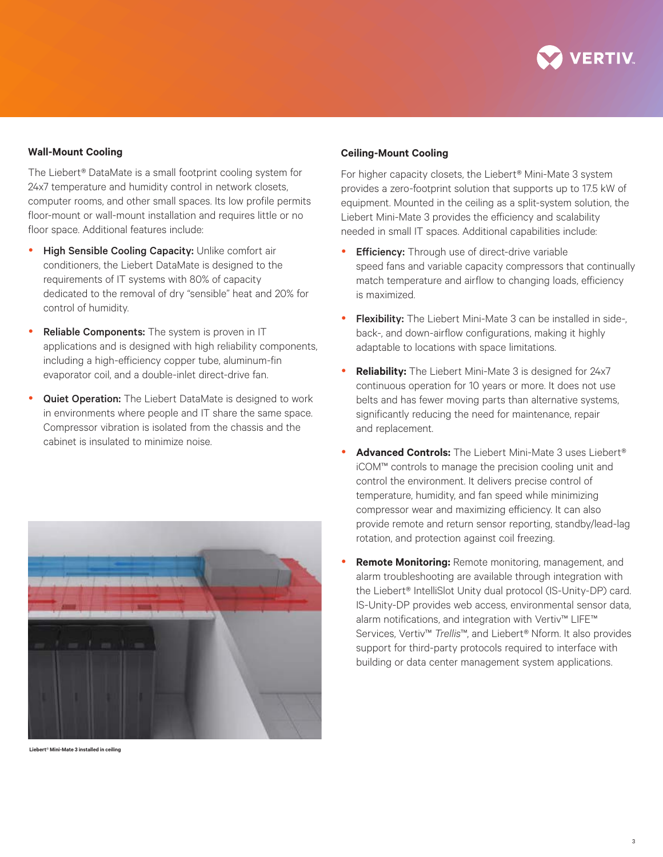

### **Wall-Mount Cooling**

The Liebert*®* DataMate is a small footprint cooling system for 24x7 temperature and humidity control in network closets, computer rooms, and other small spaces. Its low profile permits floor-mount or wall-mount installation and requires little or no floor space. Additional features include:

- High Sensible Cooling Capacity: Unlike comfort air conditioners, the Liebert DataMate is designed to the requirements of IT systems with 80% of capacity dedicated to the removal of dry "sensible" heat and 20% for control of humidity.
- Reliable Components: The system is proven in IT applications and is designed with high reliability components, including a high-efficiency copper tube, aluminum-fin evaporator coil, and a double-inlet direct-drive fan.
- Quiet Operation: The Liebert DataMate is designed to work in environments where people and IT share the same space. Compressor vibration is isolated from the chassis and the cabinet is insulated to minimize noise.



 **Liebert***®* **Mini-Mate 3 installed in ceiling**

#### **Ceiling-Mount Cooling**

For higher capacity closets, the Liebert*®* Mini-Mate 3 system provides a zero-footprint solution that supports up to 17.5 kW of equipment. Mounted in the ceiling as a split-system solution, the Liebert Mini-Mate 3 provides the efficiency and scalability needed in small IT spaces. Additional capabilities include:

- **Efficiency:** Through use of direct-drive variable speed fans and variable capacity compressors that continually match temperature and airflow to changing loads, efficiency is maximized.
- Flexibility: The Liebert Mini-Mate 3 can be installed in side-, back-, and down-airflow configurations, making it highly adaptable to locations with space limitations.
- **Reliability:** The Liebert Mini-Mate 3 is designed for 24x7 continuous operation for 10 years or more. It does not use belts and has fewer moving parts than alternative systems, significantly reducing the need for maintenance, repair and replacement.
- y **Advanced Controls:** The Liebert Mini-Mate 3 uses Liebert*®* iCOM™ controls to manage the precision cooling unit and control the environment. It delivers precise control of temperature, humidity, and fan speed while minimizing compressor wear and maximizing efficiency. It can also provide remote and return sensor reporting, standby/lead-lag rotation, and protection against coil freezing.
- **Remote Monitoring:** Remote monitoring, management, and alarm troubleshooting are available through integration with the Liebert® IntelliSlot Unity dual protocol (IS-Unity-DP) card. IS-Unity-DP provides web access, environmental sensor data, alarm notifications, and integration with Vertiv™ LIFE™ Services, Vertiv™ *Trellis*™, and Liebert*®* Nform. It also provides support for third-party protocols required to interface with building or data center management system applications.